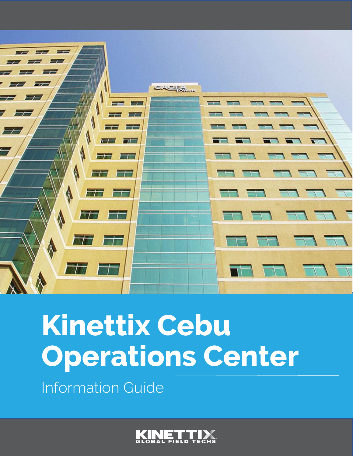

# **Kinettix Cebu Operations Center**

Information Guide

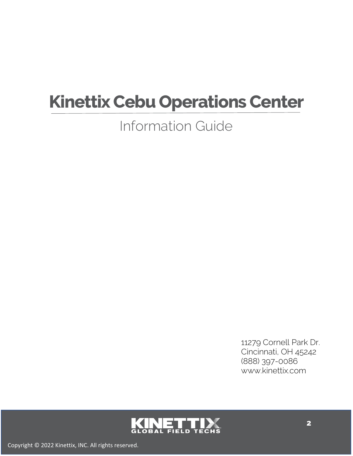# **Kinettix Cebu Operations Center**

#### Information Guide

11279 Cornell Park Dr. Cincinnati, OH 45242 [\(888\) 397-0086](https://www.google.com/search?q=kinettix&rlz=1C1CHBF_enUS921US921&oq=kin&aqs=chrome.1.69i60j69i59l2j69i57j69i60l3j69i65.2550j0j7&sourceid=chrome&ie=UTF-8) www.kinettix.com

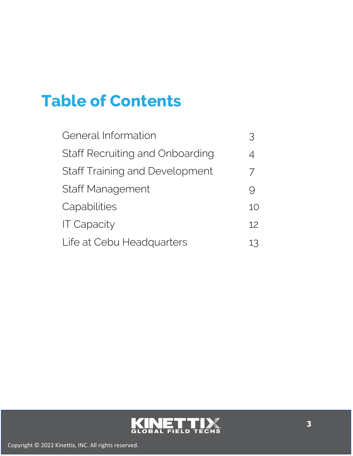## **Table of Contents**

| General Information                   |                 |
|---------------------------------------|-----------------|
| Staff Recruiting and Onboarding       | 4               |
| <b>Staff Training and Development</b> | $\overline{1}$  |
| <b>Staff Management</b>               |                 |
| Capabilities                          | 10              |
| <b>IT Capacity</b>                    | 12 <sup>2</sup> |
| Life at Cebu Headquarters             | 13              |

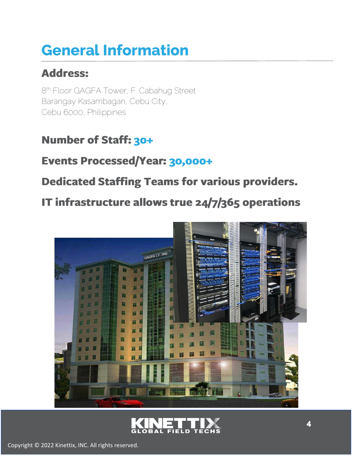# **General Information**

#### **Address:**

8 th Floor GAGFA Tower, F. Cabahug Street Barangay Kasambagan, Cebu City, Cebu 6000, Philippines

#### **Number of Staff: 30+**

#### **Events Processed/Year: 30,000+**

**Dedicated Staffing Teams for various providers.** 

IT infrastructure allows true 24/7/365 operations



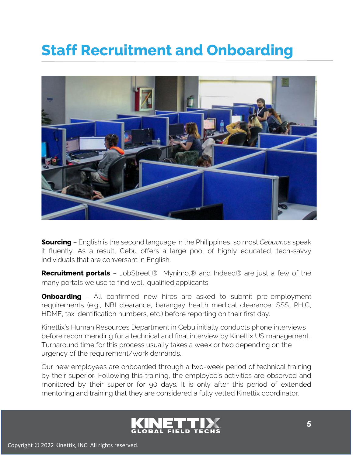#### **Staff Recruitment and Onboarding**



**Sourcing** – English is the second language in the Philippines, so most *Cebuanos* speak it fluently. As a result, Cebu offers a large pool of highly educated, tech-savvy individuals that are conversant in English.

**Recruitment portals** – JobStreet,® Mynimo,® and Indeed® are just a few of the many portals we use to find well-qualified applicants.

**Onboarding** - All confirmed new hires are asked to submit pre-employment requirements (e.g., NBI clearance, barangay health medical clearance, SSS, PHIC, HDMF, tax identification numbers, etc.) before reporting on their first day.

Kinettix's Human Resources Department in Cebu initially conducts phone interviews before recommending for a technical and final interview by Kinettix US management. Turnaround time for this process usually takes a week or two depending on the urgency of the requirement/work demands.

Our new employees are onboarded through a two-week period of technical training by their superior. Following this training, the employee's activities are observed and monitored by their superior for 90 days. It is only after this period of extended mentoring and training that they are considered a fully vetted Kinettix coordinator.

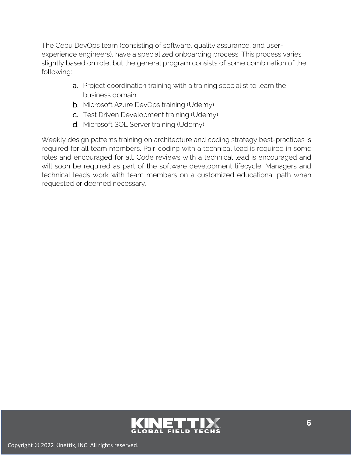The Cebu DevOps team (consisting of software, quality assurance, and userexperience engineers), have a specialized onboarding process. This process varies slightly based on role, but the general program consists of some combination of the following:

- a. Project coordination training with a training specialist to learn the business domain
- **b.** Microsoft Azure DevOps training (Udemy)
- c. Test Driven Development training (Udemy)
- d. Microsoft SQL Server training (Udemy)

Weekly design patterns training on architecture and coding strategy best-practices is required for all team members. Pair-coding with a technical lead is required in some roles and encouraged for all. Code reviews with a technical lead is encouraged and will soon be required as part of the software development lifecycle. Managers and technical leads work with team members on a customized educational path when requested or deemed necessary.

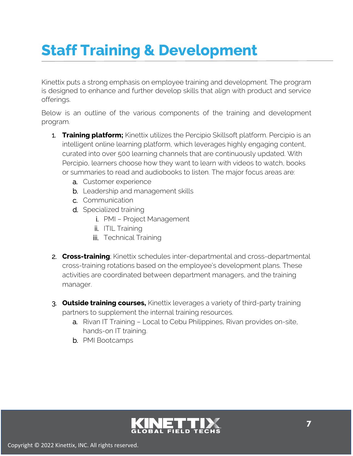## **Staff Training & Development**

Kinettix puts a strong emphasis on employee training and development. The program is designed to enhance and further develop skills that align with product and service offerings.

Below is an outline of the various components of the training and development program.

- 1. **Training platform;** Kinettix utilizes the Percipio Skillsoft platform. Percipio is an intelligent online learning platform, which leverages highly engaging content, curated into over 500 learning channels that are continuously updated. With Percipio, learners choose how they want to learn with videos to watch, books or summaries to read and audiobooks to listen. The major focus areas are:
	- a. Customer experience
	- b. Leadership and management skills
	- c. Communication
	- d. Specialized training
		- i. PMI Project Management
		- ii. **ITIL Training**
		- **iii.** Technical Training
- 2. **Cross-training**; Kinettix schedules inter-departmental and cross-departmental cross-training rotations based on the employee's development plans. These activities are coordinated between department managers, and the training manager.
- 3. **Outside training courses,** Kinettix leverages a variety of third-party training partners to supplement the internal training resources.
	- a. Rivan IT Training Local to Cebu Philippines, Rivan provides on-site, hands-on IT training.
	- b. PMI Bootcamps

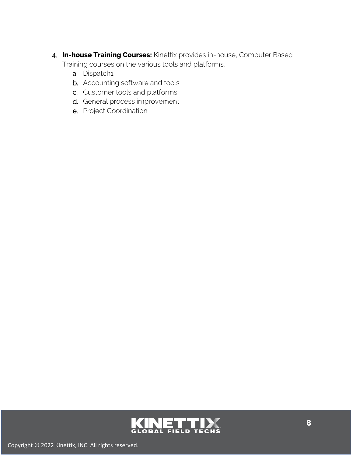- 4. **In-house Training Courses:** Kinettix provides in-house, Computer Based Training courses on the various tools and platforms.
	- a. Dispatch1
	- b. Accounting software and tools
	- c. Customer tools and platforms
	- d. General process improvement
	- e. Project Coordination

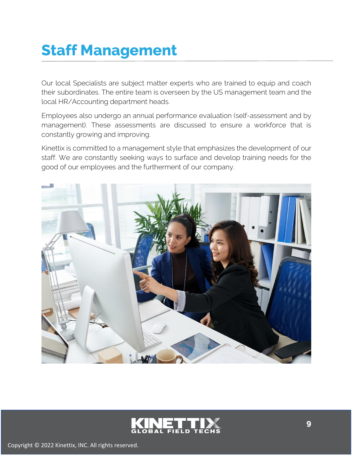### **Staff Management**

Our local Specialists are subject matter experts who are trained to equip and coach their subordinates. The entire team is overseen by the US management team and the local HR/Accounting department heads.

Employees also undergo an annual performance evaluation (self-assessment and by management). These assessments are discussed to ensure a workforce that is constantly growing and improving.

Kinettix is committed to a management style that emphasizes the development of our staff. We are constantly seeking ways to surface and develop training needs for the good of our employees and the furtherment of our company.



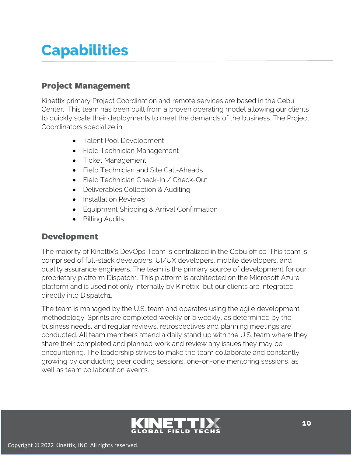### **Capabilities**

#### **Project Management**

Kinettix primary Project Coordination and remote services are based in the Cebu Center. This team has been built from a proven operating model allowing our clients to quickly scale their deployments to meet the demands of the business. The Project Coordinators specialize in;

- Talent Pool Development
- Field Technician Management
- Ticket Management
- Field Technician and Site Call-Aheads
- Field Technician Check-In / Check-Out
- Deliverables Collection & Auditing
- Installation Reviews
- Equipment Shipping & Arrival Confirmation
- Billing Audits

#### **Development**

The majority of Kinettix's DevOps Team is centralized in the Cebu office. This team is comprised of full-stack developers, UI/UX developers, mobile developers, and quality assurance engineers. The team is the primary source of development for our proprietary platform Dispatch1. This platform is architected on the Microsoft Azure platform and is used not only internally by Kinettix, but our clients are integrated directly into Dispatch1.

The team is managed by the U.S. team and operates using the agile development methodology. Sprints are completed weekly or biweekly, as determined by the business needs, and regular reviews, retrospectives and planning meetings are conducted. All team members attend a daily stand up with the U.S. team where they share their completed and planned work and review any issues they may be encountering. The leadership strives to make the team collaborate and constantly growing by conducting peer coding sessions, one-on-one mentoring sessions, as well as team collaboration events.

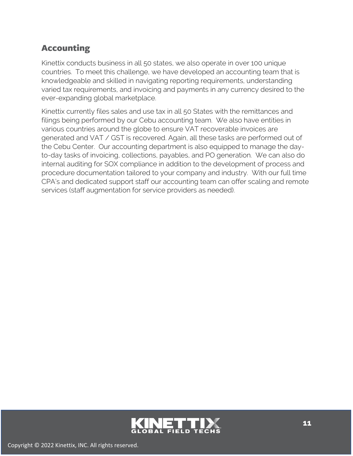#### **Accounting**

Kinettix conducts business in all 50 states, we also operate in over 100 unique countries. To meet this challenge, we have developed an accounting team that is knowledgeable and skilled in navigating reporting requirements, understanding varied tax requirements, and invoicing and payments in any currency desired to the ever-expanding global marketplace.

Kinettix currently files sales and use tax in all 50 States with the remittances and filings being performed by our Cebu accounting team. We also have entities in various countries around the globe to ensure VAT recoverable invoices are generated and VAT / GST is recovered. Again, all these tasks are performed out of the Cebu Center. Our accounting department is also equipped to manage the dayto-day tasks of invoicing, collections, payables, and PO generation. We can also do internal auditing for SOX compliance in addition to the development of process and procedure documentation tailored to your company and industry. With our full time CPA's and dedicated support staff our accounting team can offer scaling and remote services (staff augmentation for service providers as needed).

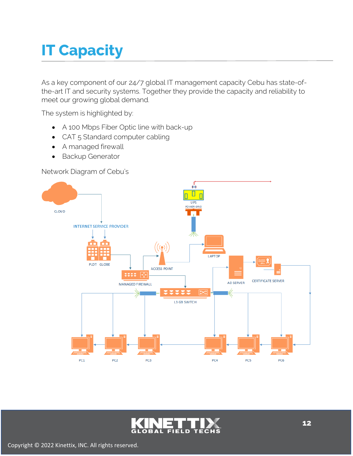# **IT Capacity**

As a key component of our 24/7 global IT management capacity Cebu has state-ofthe-art IT and security systems. Together they provide the capacity and reliability to meet our growing global demand.

The system is highlighted by:

- A 100 Mbps Fiber Optic line with back-up
- CAT 5 Standard computer cabling
- A managed firewall
- Backup Generator

Network Diagram of Cebu's



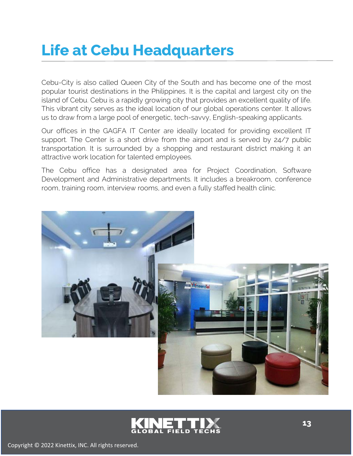#### **Life at Cebu Headquarters**

Cebu-City is also called Queen City of the South and has become one of the most popular tourist destinations in the Philippines. It is the capital and largest city on the island of Cebu. Cebu is a rapidly growing city that provides an excellent quality of life. This vibrant city serves as the ideal location of our global operations center. It allows us to draw from a large pool of energetic, tech-savvy, English-speaking applicants.

Our offices in the GAGFA IT Center are ideally located for providing excellent IT support. The Center is a short drive from the airport and is served by 24/7 public transportation. It is surrounded by a shopping and restaurant district making it an attractive work location for talented employees.

The Cebu office has a designated area for Project Coordination, Software Development and Administrative departments. It includes a breakroom, conference room, training room, interview rooms, and even a fully staffed health clinic.